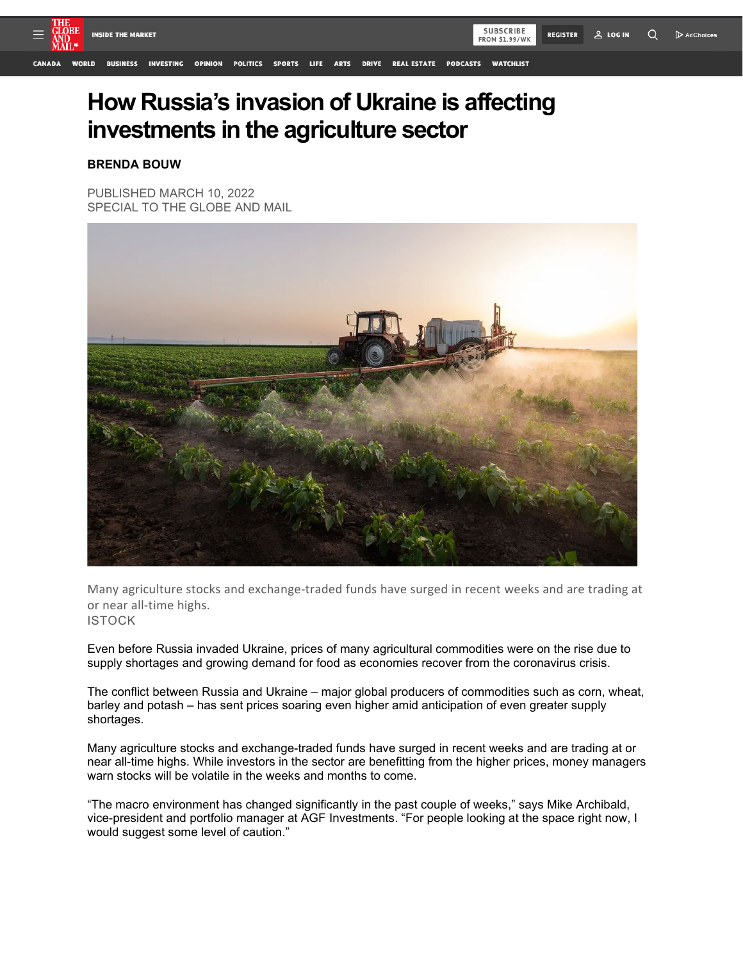

## **How Russia's invasion of Ukraine is affecting investments in the agriculture sector**

## **BRENDA BOUW**

PUBLISHED MARCH 10, 2022 SPECIAL TO THE GLOBE AND MAIL



Many agriculture stocks and exchange-traded funds have surged in recent weeks and are trading at or near all-time highs. ISTOCK

Even before Russia invaded Ukraine, prices of many agricultural commodities were on the rise due to supply shortages and growing demand for food as economies recover from the coronavirus crisis.

The conflict between Russia and Ukraine – major global producers of commodities such as corn, wheat, barley and potash – has sent prices soaring even higher amid anticipation of even greater supply shortages.

Many agriculture stocks and exchange-traded funds have surged in recent weeks and are trading at or near all-time highs. While investors in the sector are benefitting from the higher prices, money managers warn stocks will be volatile in the weeks and months to come.

"The macro environment has changed significantly in the past couple of weeks," says Mike Archibald, vice-president and portfolio manager at AGF Investments. "For people looking at the space right now, I would suggest some level of caution."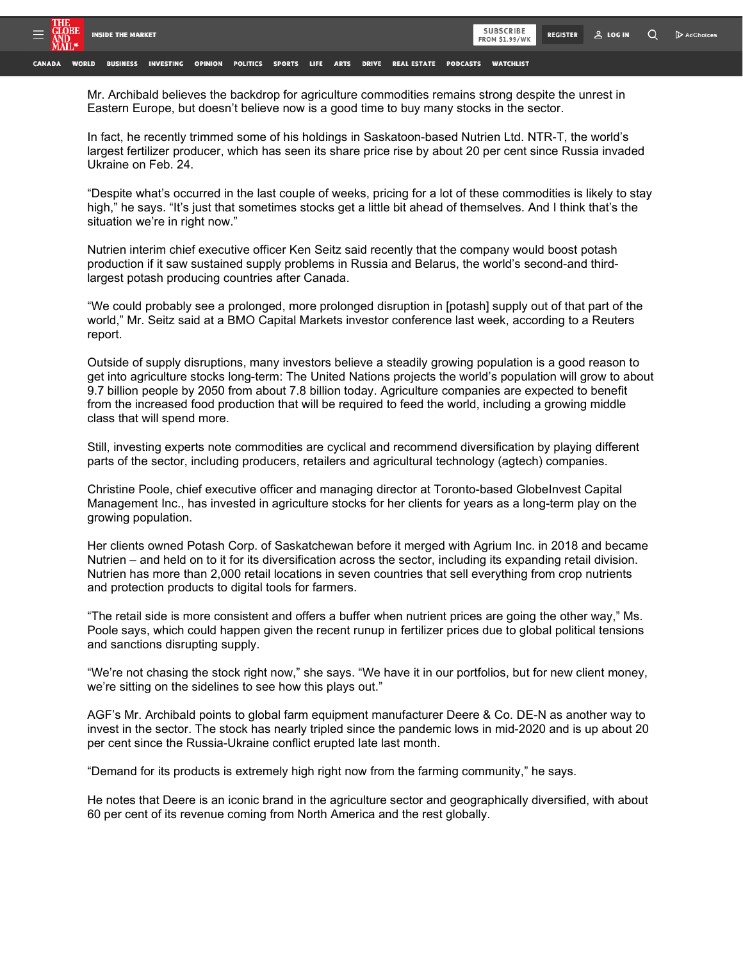

BUSINESS INVESTING OPINION POLITICS SPORTS LIFE **DRIVE** REAL ESTATE PODCASTS WATCHLIST **WORLD ARTS** 

Mr. Archibald believes the backdrop for agriculture commodities remains strong despite the unrest in Eastern Europe, but doesn't believe now is a good time to buy many stocks in the sector.

In fact, he recently trimmed some of his holdings in Saskatoon-based Nutrien Ltd. NTR-T, the world's largest fertilizer producer, which has seen its share price rise by about 20 per cent since Russia invaded Ukraine on Feb. 24.

"Despite what's occurred in the last couple of weeks, pricing for a lot of these commodities is likely to stay high," he says. "It's just that sometimes stocks get a little bit ahead of themselves. And I think that's the situation we're in right now."

Nutrien interim chief executive officer Ken Seitz said recently that the company would boost potash production if it saw sustained supply problems in Russia and Belarus, the world's second-and thirdlargest potash producing countries after Canada.

"We could probably see a prolonged, more prolonged disruption in [potash] supply out of that part of the world," Mr. Seitz said at a BMO Capital Markets investor conference last week, according to a Reuters report.

Outside of supply disruptions, many investors believe a steadily growing population is a good reason to get into agriculture stocks long-term: The United Nations projects the world's population will grow to about 9.7 billion people by 2050 from about 7.8 billion today. Agriculture companies are expected to benefit from the increased food production that will be required to feed the world, including a growing middle class that will spend more.

Still, investing experts note commodities are cyclical and recommend diversification by playing different parts of the sector, including producers, retailers and agricultural technology (agtech) companies.

Christine Poole, chief executive officer and managing director at Toronto-based GlobeInvest Capital Management Inc., has invested in agriculture stocks for her clients for years as a long-term play on the growing population.

Her clients owned Potash Corp. of Saskatchewan before it merged with Agrium Inc. in 2018 and became Nutrien – and held on to it for its diversification across the sector, including its expanding retail division. Nutrien has more than 2,000 retail locations in seven countries that sell everything from crop nutrients and protection products to digital tools for farmers.

"The retail side is more consistent and offers a buffer when nutrient prices are going the other way," Ms. Poole says, which could happen given the recent runup in fertilizer prices due to global political tensions and sanctions disrupting supply.

"We're not chasing the stock right now," she says. "We have it in our portfolios, but for new client money, we're sitting on the sidelines to see how this plays out."

AGF's Mr. Archibald points to global farm equipment manufacturer Deere & Co. DE-N as another way to invest in the sector. The stock has nearly tripled since the pandemic lows in mid-2020 and is up about 20 per cent since the Russia-Ukraine conflict erupted late last month.

"Demand for its products is extremely high right now from the farming community," he says.

He notes that Deere is an iconic brand in the agriculture sector and geographically diversified, with about 60 per cent of its revenue coming from North America and the rest globally.